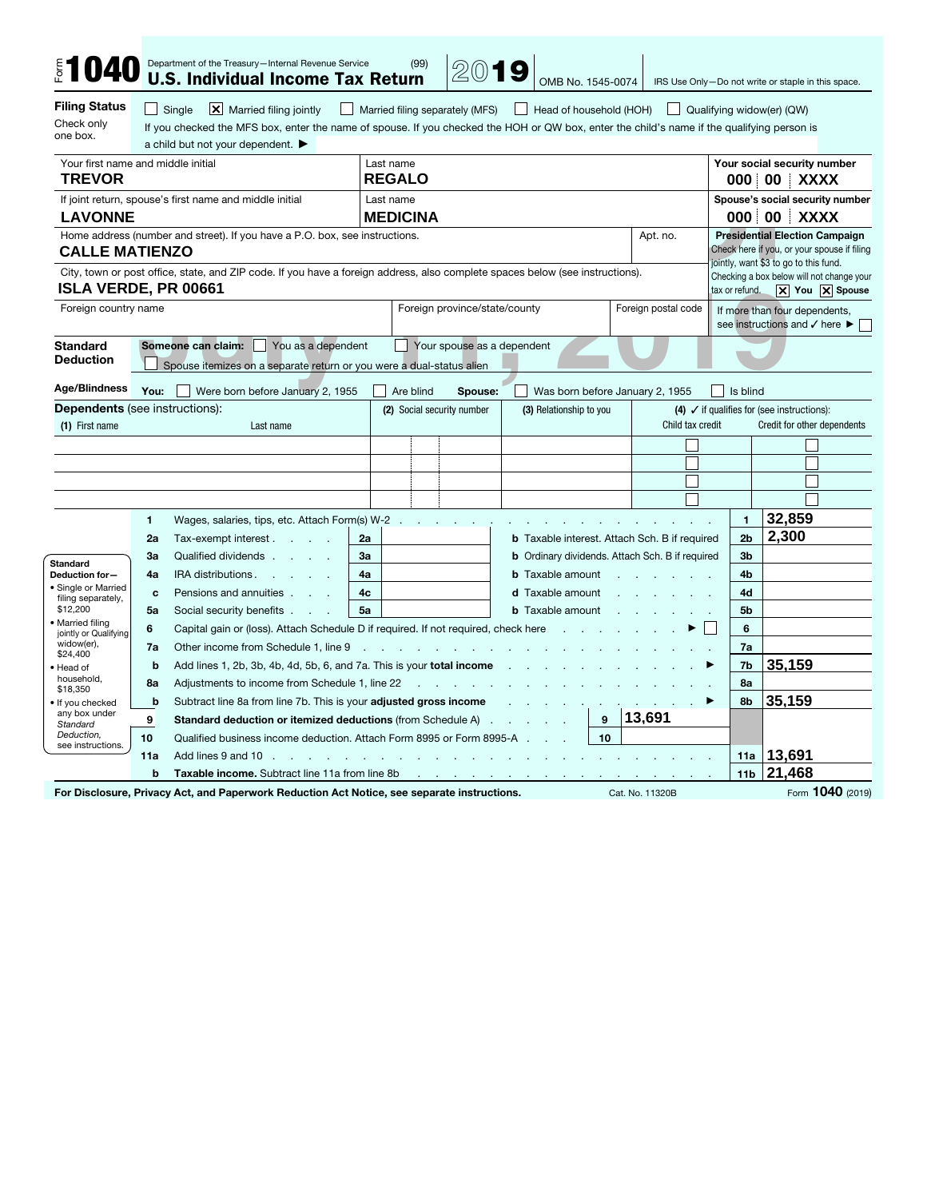| <b>\$1040</b>                                                                                                                                     |                                                                                                                                                | Department of the Treasury-Internal Revenue Service<br><b>U.S. Individual Income Tax Return</b>                                                                                                                                                                                                                                                                         |                                                                                           |                               | (99)      | 2019             |                                                                                   | OMB No. 1545-0074                                                                    |   |                                                                                       |                |                                                                                                                               |             | IRS Use Only-Do not write or staple in this space.                                                   |
|---------------------------------------------------------------------------------------------------------------------------------------------------|------------------------------------------------------------------------------------------------------------------------------------------------|-------------------------------------------------------------------------------------------------------------------------------------------------------------------------------------------------------------------------------------------------------------------------------------------------------------------------------------------------------------------------|-------------------------------------------------------------------------------------------|-------------------------------|-----------|------------------|-----------------------------------------------------------------------------------|--------------------------------------------------------------------------------------|---|---------------------------------------------------------------------------------------|----------------|-------------------------------------------------------------------------------------------------------------------------------|-------------|------------------------------------------------------------------------------------------------------|
| <b>Filing Status</b><br>Check only<br>one box.                                                                                                    | - 1                                                                                                                                            | Single<br>$ \mathsf{X} $ Married filing jointly<br>    Married filing separately (MFS)<br>Head of household (HOH)<br>  Qualifying widow(er) (QW)<br>$\mathsf{L}$<br>If you checked the MFS box, enter the name of spouse. If you checked the HOH or QW box, enter the child's name if the qualifying person is<br>a child but not your dependent. $\blacktriangleright$ |                                                                                           |                               |           |                  |                                                                                   |                                                                                      |   |                                                                                       |                |                                                                                                                               |             |                                                                                                      |
| Your first name and middle initial<br><b>TREVOR</b>                                                                                               |                                                                                                                                                |                                                                                                                                                                                                                                                                                                                                                                         |                                                                                           | Last name<br><b>REGALO</b>    |           |                  |                                                                                   |                                                                                      |   |                                                                                       |                | Your social security number<br>000 00 XXXX                                                                                    |             |                                                                                                      |
| If joint return, spouse's first name and middle initial<br><b>LAVONNE</b>                                                                         |                                                                                                                                                |                                                                                                                                                                                                                                                                                                                                                                         |                                                                                           | Last name<br><b>MEDICINA</b>  |           |                  |                                                                                   |                                                                                      |   |                                                                                       |                |                                                                                                                               | 000 00 XXXX | Spouse's social security number                                                                      |
| Home address (number and street). If you have a P.O. box, see instructions.<br><b>CALLE MATIENZO</b>                                              |                                                                                                                                                |                                                                                                                                                                                                                                                                                                                                                                         |                                                                                           | Apt. no.                      |           |                  |                                                                                   |                                                                                      |   |                                                                                       |                | <b>Presidential Election Campaign</b><br>Check here if you, or your spouse if filing<br>jointly, want \$3 to go to this fund. |             |                                                                                                      |
| <b>ISLA VERDE, PR 00661</b>                                                                                                                       |                                                                                                                                                | City, town or post office, state, and ZIP code. If you have a foreign address, also complete spaces below (see instructions).                                                                                                                                                                                                                                           |                                                                                           |                               |           |                  |                                                                                   |                                                                                      |   |                                                                                       |                |                                                                                                                               |             | Checking a box below will not change your<br>tax or refund. $ \mathsf{X} $ You $ \mathsf{X} $ Spouse |
| Foreign country name                                                                                                                              |                                                                                                                                                |                                                                                                                                                                                                                                                                                                                                                                         |                                                                                           | Foreign province/state/county |           |                  |                                                                                   |                                                                                      |   | Foreign postal code<br>If more than four dependents,<br>see instructions and √ here ▶ |                |                                                                                                                               |             |                                                                                                      |
| <b>Standard</b><br><b>Deduction</b>                                                                                                               | Your spouse as a dependent<br>Someone can claim:<br>You as a dependent<br>Spouse itemizes on a separate return or you were a dual-status alien |                                                                                                                                                                                                                                                                                                                                                                         |                                                                                           |                               |           |                  |                                                                                   |                                                                                      |   |                                                                                       |                |                                                                                                                               |             |                                                                                                      |
| Age/Blindness                                                                                                                                     | You:                                                                                                                                           | Were born before January 2, 1955                                                                                                                                                                                                                                                                                                                                        |                                                                                           |                               | Are blind | Spouse:          |                                                                                   |                                                                                      |   | Was born before January 2, 1955                                                       |                | Is blind                                                                                                                      |             |                                                                                                      |
| <b>Dependents</b> (see instructions):<br>(2) Social security number<br>(3) Relationship to you<br>Child tax credit<br>(1) First name<br>Last name |                                                                                                                                                |                                                                                                                                                                                                                                                                                                                                                                         |                                                                                           |                               |           |                  |                                                                                   | (4) $\checkmark$ if qualifies for (see instructions):<br>Credit for other dependents |   |                                                                                       |                |                                                                                                                               |             |                                                                                                      |
|                                                                                                                                                   |                                                                                                                                                |                                                                                                                                                                                                                                                                                                                                                                         |                                                                                           |                               |           |                  |                                                                                   |                                                                                      |   |                                                                                       |                |                                                                                                                               |             |                                                                                                      |
|                                                                                                                                                   |                                                                                                                                                |                                                                                                                                                                                                                                                                                                                                                                         |                                                                                           |                               |           |                  |                                                                                   |                                                                                      |   |                                                                                       |                |                                                                                                                               |             |                                                                                                      |
|                                                                                                                                                   |                                                                                                                                                |                                                                                                                                                                                                                                                                                                                                                                         |                                                                                           |                               |           |                  |                                                                                   |                                                                                      |   |                                                                                       |                |                                                                                                                               |             |                                                                                                      |
|                                                                                                                                                   |                                                                                                                                                |                                                                                                                                                                                                                                                                                                                                                                         |                                                                                           |                               |           |                  |                                                                                   |                                                                                      |   |                                                                                       |                |                                                                                                                               |             |                                                                                                      |
|                                                                                                                                                   | $\mathbf{1}$                                                                                                                                   | Wages, salaries, tips, etc. Attach Form(s) W-2.                                                                                                                                                                                                                                                                                                                         |                                                                                           |                               |           |                  |                                                                                   |                                                                                      |   |                                                                                       |                | $\mathbf{1}$                                                                                                                  | 32,859      |                                                                                                      |
|                                                                                                                                                   | 2a                                                                                                                                             | Tax-exempt interest.<br><b>Carl Corporation</b>                                                                                                                                                                                                                                                                                                                         | 2a                                                                                        |                               |           |                  | <b>b</b> Taxable interest. Attach Sch. B if required                              |                                                                                      |   |                                                                                       | 2 <sub>b</sub> | 2,300                                                                                                                         |             |                                                                                                      |
| <b>Standard</b>                                                                                                                                   | За                                                                                                                                             | Qualified dividends                                                                                                                                                                                                                                                                                                                                                     | 3a<br>4a                                                                                  |                               |           |                  | <b>b</b> Ordinary dividends. Attach Sch. B if required<br><b>b</b> Taxable amount |                                                                                      |   |                                                                                       |                | 3 <sub>b</sub><br>4b                                                                                                          |             |                                                                                                      |
| Deduction for-<br>· Single or Married                                                                                                             | 4a<br>$\mathbf{c}$                                                                                                                             | IRA distributions.<br>Pensions and annuities                                                                                                                                                                                                                                                                                                                            | 4c                                                                                        |                               |           | d Taxable amount |                                                                                   | 4d                                                                                   |   |                                                                                       |                |                                                                                                                               |             |                                                                                                      |
| filing separately,<br>\$12,200                                                                                                                    | 5a                                                                                                                                             | Social security benefits                                                                                                                                                                                                                                                                                                                                                | 5a                                                                                        |                               |           |                  | <b>b</b> Taxable amount                                                           |                                                                                      |   |                                                                                       |                | 5b                                                                                                                            |             |                                                                                                      |
| · Married filing                                                                                                                                  | 6                                                                                                                                              |                                                                                                                                                                                                                                                                                                                                                                         |                                                                                           | n.                            |           |                  |                                                                                   |                                                                                      |   |                                                                                       | 6              |                                                                                                                               |             |                                                                                                      |
| jointly or Qualifying<br>widow(er),                                                                                                               | 7a                                                                                                                                             | Capital gain or (loss). Attach Schedule D if required. If not required, check here<br>Other income from Schedule 1, line 9<br><b>Carl Corporation</b><br><b>Contract</b>                                                                                                                                                                                                |                                                                                           |                               |           |                  |                                                                                   |                                                                                      |   |                                                                                       |                | 7a                                                                                                                            |             |                                                                                                      |
| \$24,400<br>· Head of                                                                                                                             | b                                                                                                                                              | Add lines 1, 2b, 3b, 4b, 4d, 5b, 6, and 7a. This is your total income                                                                                                                                                                                                                                                                                                   |                                                                                           |                               |           |                  |                                                                                   |                                                                                      |   |                                                                                       | 7b             | 35,159                                                                                                                        |             |                                                                                                      |
| household.                                                                                                                                        | 8a                                                                                                                                             | Adjustments to income from Schedule 1, line 22                                                                                                                                                                                                                                                                                                                          |                                                                                           |                               |           |                  |                                                                                   |                                                                                      |   |                                                                                       |                | 8a                                                                                                                            |             |                                                                                                      |
| \$18,350<br>. If you checked                                                                                                                      | b                                                                                                                                              |                                                                                                                                                                                                                                                                                                                                                                         | Subtract line 8a from line 7b. This is your adjusted gross income<br>$\ddot{\phantom{a}}$ |                               |           |                  |                                                                                   |                                                                                      |   | ▶                                                                                     | 8b             | 35,159                                                                                                                        |             |                                                                                                      |
| any box under<br>Standard                                                                                                                         | 9                                                                                                                                              | Standard deduction or itemized deductions (from Schedule A).                                                                                                                                                                                                                                                                                                            |                                                                                           |                               |           |                  |                                                                                   |                                                                                      | 9 | 13,691                                                                                |                |                                                                                                                               |             |                                                                                                      |
| Deduction,<br>see instructions.                                                                                                                   | 10                                                                                                                                             | 10<br>Qualified business income deduction. Attach Form 8995 or Form 8995-A                                                                                                                                                                                                                                                                                              |                                                                                           |                               |           |                  |                                                                                   |                                                                                      |   |                                                                                       |                |                                                                                                                               |             |                                                                                                      |
|                                                                                                                                                   | 11a                                                                                                                                            | Add lines 9 and 10                                                                                                                                                                                                                                                                                                                                                      |                                                                                           |                               |           |                  |                                                                                   |                                                                                      |   |                                                                                       |                | 11a                                                                                                                           | 13,691      |                                                                                                      |
|                                                                                                                                                   | b                                                                                                                                              | Taxable income. Subtract line 11a from line 8b                                                                                                                                                                                                                                                                                                                          |                                                                                           |                               |           |                  |                                                                                   |                                                                                      |   |                                                                                       |                | 11 <sub>b</sub>                                                                                                               | 21,468      |                                                                                                      |

For Disclosure, Privacy Act, and Paperwork Reduction Act Notice, see separate instructions. Cat. No. 11320B Form 1040 (2019)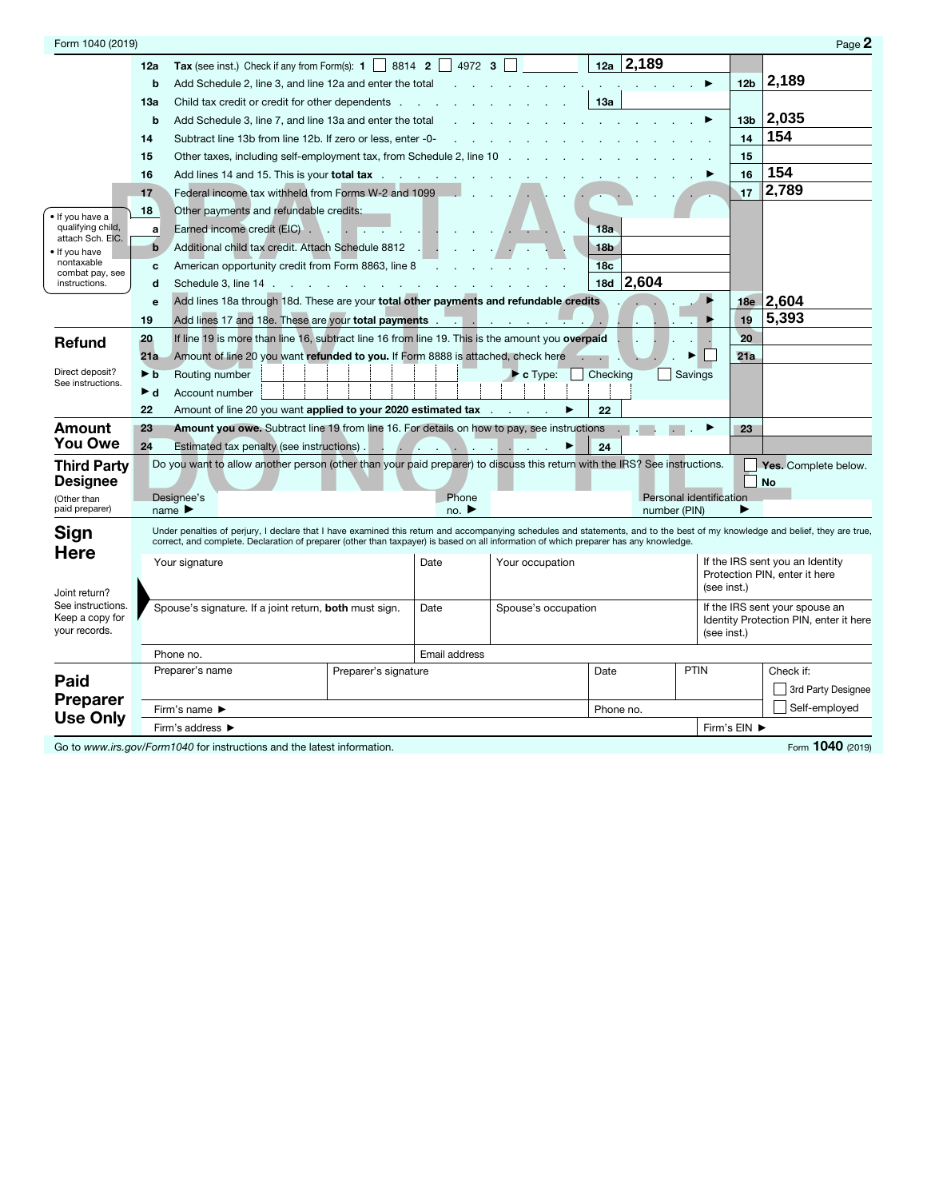| Form 1040 (2019)                                                |                                                                                                                                                                              |                                                                                                                                       |                                                                            |                                                                                                    |                               |                 |                                        |                                | Page 2                                                           |  |  |
|-----------------------------------------------------------------|------------------------------------------------------------------------------------------------------------------------------------------------------------------------------|---------------------------------------------------------------------------------------------------------------------------------------|----------------------------------------------------------------------------|----------------------------------------------------------------------------------------------------|-------------------------------|-----------------|----------------------------------------|--------------------------------|------------------------------------------------------------------|--|--|
|                                                                 | 12a                                                                                                                                                                          | <b>Tax</b> (see inst.) Check if any from Form(s): $1 \mid 8814 \mid 2 \mid 4972 \mid 3 \mid$                                          |                                                                            |                                                                                                    |                               | 2,189<br>12a    |                                        |                                |                                                                  |  |  |
|                                                                 | b                                                                                                                                                                            | Add Schedule 2, line 3, and line 12a and enter the total                                                                              |                                                                            |                                                                                                    |                               |                 |                                        | 12 <sub>b</sub>                | 2,189                                                            |  |  |
|                                                                 | 13a                                                                                                                                                                          | Child tax credit or credit for other dependents.                                                                                      |                                                                            |                                                                                                    |                               | 13а             |                                        |                                |                                                                  |  |  |
|                                                                 | b                                                                                                                                                                            | Add Schedule 3, line 7, and line 13a and enter the total                                                                              |                                                                            |                                                                                                    |                               |                 |                                        | 13 <sub>b</sub>                | 2,035                                                            |  |  |
|                                                                 | 14                                                                                                                                                                           | Subtract line 13b from line 12b. If zero or less, enter -0-                                                                           |                                                                            |                                                                                                    |                               |                 |                                        | 14                             | 154                                                              |  |  |
|                                                                 | 15                                                                                                                                                                           | Other taxes, including self-employment tax, from Schedule 2, line 10                                                                  |                                                                            |                                                                                                    |                               |                 |                                        | 15                             |                                                                  |  |  |
|                                                                 | 16                                                                                                                                                                           | Add lines 14 and 15. This is your <b>total tax</b>                                                                                    |                                                                            |                                                                                                    |                               |                 |                                        | 16                             | 154                                                              |  |  |
| • If you have a                                                 | 17                                                                                                                                                                           | Federal income tax withheld from Forms W-2 and 1099                                                                                   |                                                                            |                                                                                                    |                               |                 |                                        | 17                             | 2,789                                                            |  |  |
|                                                                 | 18                                                                                                                                                                           | Other payments and refundable credits:                                                                                                |                                                                            |                                                                                                    |                               |                 |                                        |                                |                                                                  |  |  |
| qualifying child,<br>attach Sch. EIC.                           | a                                                                                                                                                                            | Earned income credit (EIC).                                                                                                           | $\sim$<br><b>The Company</b>                                               |                                                                                                    |                               | 18a             |                                        |                                |                                                                  |  |  |
| . If you have<br>nontaxable<br>combat pay, see<br>instructions. | b                                                                                                                                                                            | Additional child tax credit. Attach Schedule 8812                                                                                     |                                                                            |                                                                                                    |                               | 18 <sub>b</sub> |                                        |                                |                                                                  |  |  |
|                                                                 | c                                                                                                                                                                            | American opportunity credit from Form 8863, line 8                                                                                    |                                                                            |                                                                                                    |                               | 18 <sub>c</sub> |                                        |                                |                                                                  |  |  |
|                                                                 | d                                                                                                                                                                            | Schedule 3, line 14 .                                                                                                                 | the control of the control of the control of the control of the control of |                                                                                                    |                               | 18d 2,604       |                                        |                                |                                                                  |  |  |
|                                                                 | e                                                                                                                                                                            | Add lines 18a through 18d. These are your total other payments and refundable credits                                                 |                                                                            |                                                                                                    |                               |                 |                                        | 18e                            | 2,604                                                            |  |  |
|                                                                 | 19                                                                                                                                                                           |                                                                                                                                       |                                                                            |                                                                                                    |                               |                 |                                        | 19                             | 5,393                                                            |  |  |
| Refund                                                          | 20                                                                                                                                                                           | If line 19 is more than line 16, subtract line 16 from line 19. This is the amount you overpaid                                       |                                                                            |                                                                                                    |                               |                 |                                        | 20                             |                                                                  |  |  |
|                                                                 | 21a                                                                                                                                                                          | Amount of line 20 you want refunded to you. If Form 8888 is attached, check here                                                      |                                                                            |                                                                                                    |                               |                 |                                        | 21a                            |                                                                  |  |  |
| Direct deposit?<br>See instructions.                            | ▶ b                                                                                                                                                                          | Routing number                                                                                                                        |                                                                            |                                                                                                    | $\blacktriangleright$ c Type: | Checking        | Savings                                |                                |                                                                  |  |  |
|                                                                 | ► d                                                                                                                                                                          | Account number                                                                                                                        |                                                                            |                                                                                                    |                               |                 |                                        |                                |                                                                  |  |  |
|                                                                 | 22                                                                                                                                                                           | Amount of line 20 you want applied to your 2020 estimated tax                                                                         |                                                                            |                                                                                                    |                               | 22              |                                        |                                |                                                                  |  |  |
| Amount                                                          | 23                                                                                                                                                                           | Amount you owe. Subtract line 19 from line 16. For details on how to pay, see instructions                                            |                                                                            |                                                                                                    |                               |                 |                                        | 23                             |                                                                  |  |  |
| <b>You Owe</b>                                                  | 24                                                                                                                                                                           | Estimated tax penalty (see instructions).                                                                                             | - 1                                                                        | $\mathcal{L}$ , $\mathcal{L}$ , $\mathcal{L}$<br>$\mathcal{L}$ and $\mathcal{L}$ and $\mathcal{L}$ | $\sim 10^{11}$ m $^{-1}$      | 24              |                                        |                                |                                                                  |  |  |
| <b>Third Party</b>                                              |                                                                                                                                                                              | Do you want to allow another person (other than your paid preparer) to discuss this return with the IRS? See instructions.            |                                                                            |                                                                                                    |                               |                 |                                        |                                | Yes. Complete below.                                             |  |  |
| <b>Designee</b><br>(Other than                                  |                                                                                                                                                                              | Designee's                                                                                                                            |                                                                            | Phone                                                                                              |                               |                 | Personal identification                |                                | <b>No</b>                                                        |  |  |
| paid preparer)                                                  |                                                                                                                                                                              | name $\blacktriangleright$                                                                                                            |                                                                            | no. $\blacktriangleright$                                                                          |                               | number (PIN)    |                                        | ▶                              |                                                                  |  |  |
| Sign                                                            | Under penalties of perjury, I declare that I have examined this return and accompanying schedules and statements, and to the best of my knowledge and belief, they are true, |                                                                                                                                       |                                                                            |                                                                                                    |                               |                 |                                        |                                |                                                                  |  |  |
| <b>Here</b>                                                     |                                                                                                                                                                              | correct, and complete. Declaration of preparer (other than taxpayer) is based on all information of which preparer has any knowledge. |                                                                            |                                                                                                    |                               |                 |                                        |                                |                                                                  |  |  |
|                                                                 |                                                                                                                                                                              | Your signature                                                                                                                        |                                                                            | Date                                                                                               | Your occupation               |                 |                                        |                                | If the IRS sent you an Identity<br>Protection PIN, enter it here |  |  |
| Joint return?                                                   |                                                                                                                                                                              |                                                                                                                                       |                                                                            |                                                                                                    |                               |                 | (see inst.)                            |                                |                                                                  |  |  |
| See instructions.                                               |                                                                                                                                                                              | Spouse's signature. If a joint return, both must sign.                                                                                |                                                                            | Date                                                                                               | Spouse's occupation           |                 |                                        | If the IRS sent your spouse an |                                                                  |  |  |
| Keep a copy for                                                 |                                                                                                                                                                              |                                                                                                                                       |                                                                            |                                                                                                    |                               |                 | Identity Protection PIN, enter it here |                                |                                                                  |  |  |
| your records.                                                   |                                                                                                                                                                              |                                                                                                                                       |                                                                            |                                                                                                    |                               |                 | (see inst.)                            |                                |                                                                  |  |  |
|                                                                 |                                                                                                                                                                              | Phone no.                                                                                                                             |                                                                            | Email address                                                                                      |                               |                 |                                        |                                |                                                                  |  |  |
| Paid                                                            |                                                                                                                                                                              | Preparer's name                                                                                                                       | Preparer's signature                                                       |                                                                                                    |                               | Date            | PTIN                                   |                                | Check if:                                                        |  |  |
| <b>Preparer</b>                                                 |                                                                                                                                                                              |                                                                                                                                       |                                                                            |                                                                                                    |                               |                 |                                        |                                | 3rd Party Designee                                               |  |  |
| <b>Use Only</b>                                                 |                                                                                                                                                                              | Firm's name $\blacktriangleright$                                                                                                     |                                                                            |                                                                                                    |                               | Phone no.       |                                        | Self-employed                  |                                                                  |  |  |
|                                                                 |                                                                                                                                                                              | Firm's address ▶                                                                                                                      |                                                                            |                                                                                                    |                               | Firm's EIN ▶    |                                        |                                |                                                                  |  |  |

Go to *www.irs.gov/Form1040* for instructions and the latest information. Form 1040 (2019)